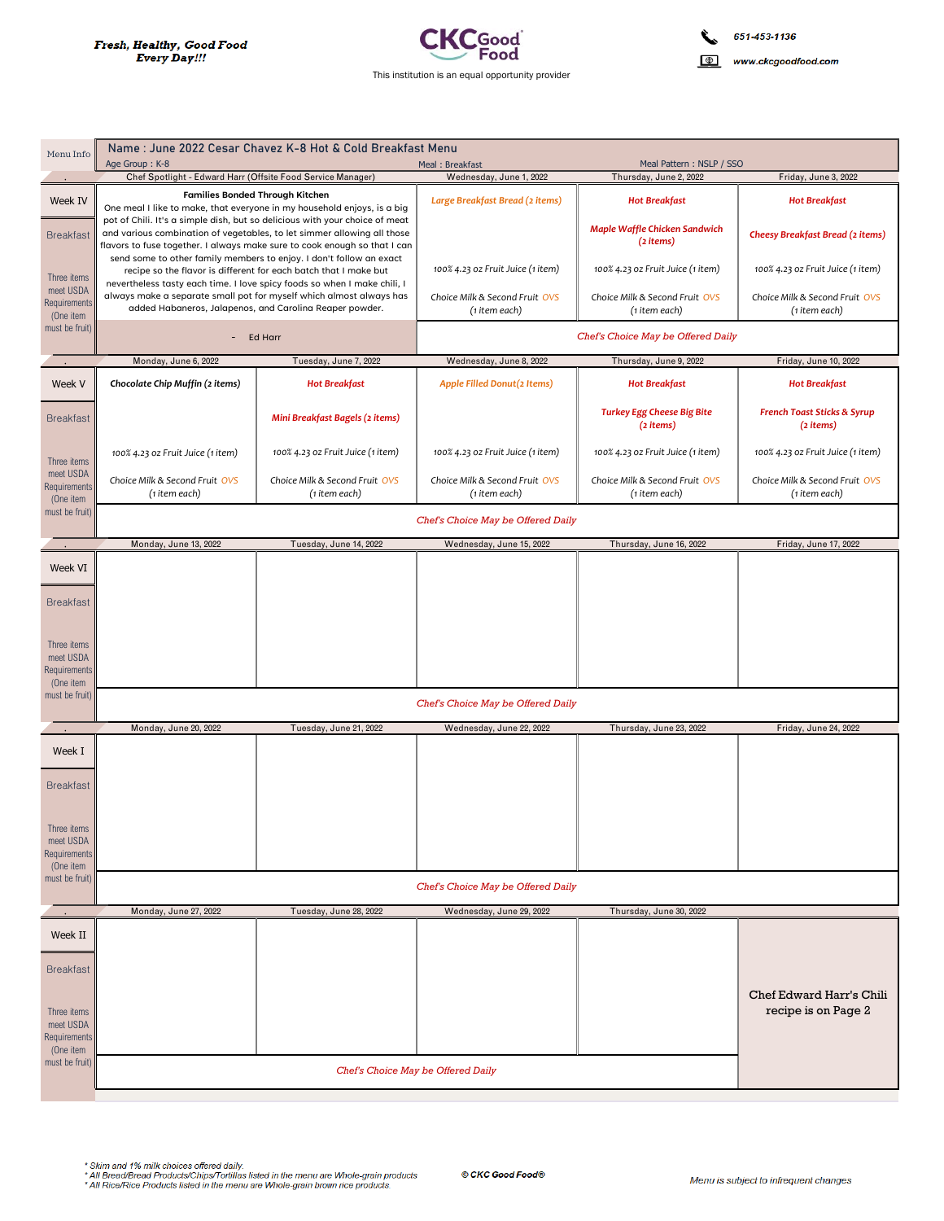

| Menu Info                                             | Name: June 2022 Cesar Chavez K-8 Hot & Cold Breakfast Menu                                                                                                                                                          |                                                 |                                                 |                                                  |                                                     |
|-------------------------------------------------------|---------------------------------------------------------------------------------------------------------------------------------------------------------------------------------------------------------------------|-------------------------------------------------|-------------------------------------------------|--------------------------------------------------|-----------------------------------------------------|
|                                                       | Age Group: K-8                                                                                                                                                                                                      |                                                 | Meal: Breakfast                                 | Meal Pattern: NSLP / SSO                         |                                                     |
|                                                       | Chef Spotlight - Edward Harr (Offsite Food Service Manager)                                                                                                                                                         |                                                 | Wednesday, June 1, 2022                         | Thursday, June 2, 2022                           | Friday, June 3, 2022                                |
| Week IV                                               | <b>Families Bonded Through Kitchen</b><br>One meal I like to make, that everyone in my household enjoys, is a big<br>pot of Chili. It's a simple dish, but so delicious with your choice of meat                    |                                                 | Large Breakfast Bread (2 items)                 | <b>Hot Breakfast</b>                             | <b>Hot Breakfast</b>                                |
| <b>Breakfast</b>                                      | and various combination of vegetables, to let simmer allowing all those<br>flavors to fuse together. I always make sure to cook enough so that I can                                                                |                                                 |                                                 | Maple Waffle Chicken Sandwich<br>(2 items)       | <b>Cheesy Breakfast Bread (2 items)</b>             |
| Three items<br>meet USDA<br>Requirements<br>(One item | send some to other family members to enjoy. I don't follow an exact<br>recipe so the flavor is different for each batch that I make but<br>nevertheless tasty each time. I love spicy foods so when I make chili, I |                                                 | 100% 4.23 oz Fruit Juice (1 item)               | 100% 4.23 oz Fruit Juice (1 item)                | 100% 4.23 oz Fruit Juice (1 item)                   |
|                                                       | always make a separate small pot for myself which almost always has<br>added Habaneros, Jalapenos, and Carolina Reaper powder.                                                                                      |                                                 | Choice Milk & Second Fruit OVS<br>(1 item each) | Choice Milk & Second Fruit OVS<br>(1 item each)  | Choice Milk & Second Fruit OVS<br>(1 item each)     |
| must be fruit)                                        | - Ed Harr                                                                                                                                                                                                           |                                                 | Chef's Choice May be Offered Daily              |                                                  |                                                     |
|                                                       | Monday, June 6, 2022                                                                                                                                                                                                | Tuesday, June 7, 2022                           | Wednesday, June 8, 2022                         | Thursday, June 9, 2022                           | Friday, June 10, 2022                               |
| Week V                                                | Chocolate Chip Muffin (2 items)                                                                                                                                                                                     | <b>Hot Breakfast</b>                            | Apple Filled Donut(2 Items)                     | <b>Hot Breakfast</b>                             | <b>Hot Breakfast</b>                                |
| <b>Breakfast</b>                                      |                                                                                                                                                                                                                     | Mini Breakfast Bagels (2 items)                 |                                                 | <b>Turkey Egg Cheese Big Bite</b><br>$(2$ items) | <b>French Toast Sticks &amp; Syrup</b><br>(2 items) |
| Three items                                           | 100% 4.23 oz Fruit Juice (1 item)                                                                                                                                                                                   | 100% 4.23 oz Fruit Juice (1 item)               | 100% 4.23 oz Fruit Juice (1 item)               | 100% 4.23 oz Fruit Juice (1 item)                | 100% 4.23 oz Fruit Juice (1 item)                   |
| meet USDA<br><b>Requirements</b><br>(One item         | Choice Milk & Second Fruit OVS<br>(1 item each)                                                                                                                                                                     | Choice Milk & Second Fruit OVS<br>(1 item each) | Choice Milk & Second Fruit OVS<br>(1 item each) | Choice Milk & Second Fruit OVS<br>(1 item each)  | Choice Milk & Second Fruit OVS<br>(1 item each)     |
| must be fruit)                                        | Chef's Choice May be Offered Daily                                                                                                                                                                                  |                                                 |                                                 |                                                  |                                                     |
|                                                       | Monday, June 13, 2022                                                                                                                                                                                               | Tuesday, June 14, 2022                          | Wednesday, June 15, 2022                        | Thursday, June 16, 2022                          | Friday, June 17, 2022                               |
| Week VI                                               |                                                                                                                                                                                                                     |                                                 |                                                 |                                                  |                                                     |
| <b>Breakfast</b>                                      |                                                                                                                                                                                                                     |                                                 |                                                 |                                                  |                                                     |
| Three items                                           |                                                                                                                                                                                                                     |                                                 |                                                 |                                                  |                                                     |
| meet USDA<br>Requirements                             |                                                                                                                                                                                                                     |                                                 |                                                 |                                                  |                                                     |
| (One item<br>must be fruit)                           |                                                                                                                                                                                                                     |                                                 | Chef's Choice May be Offered Daily              |                                                  |                                                     |
|                                                       |                                                                                                                                                                                                                     |                                                 |                                                 |                                                  |                                                     |
|                                                       | Monday, June 20, 2022                                                                                                                                                                                               | Tuesday, June 21, 2022                          | Wednesday, June 22, 2022                        | Thursday, June 23, 2022                          | Friday, June 24, 2022                               |
| Week I                                                |                                                                                                                                                                                                                     |                                                 |                                                 |                                                  |                                                     |
| <b>Breakfast</b>                                      |                                                                                                                                                                                                                     |                                                 |                                                 |                                                  |                                                     |
| Three items                                           |                                                                                                                                                                                                                     |                                                 |                                                 |                                                  |                                                     |
| meet USDA<br><b>Requirements</b><br>(One item         |                                                                                                                                                                                                                     |                                                 |                                                 |                                                  |                                                     |
| must be fruit)                                        | Chef's Choice May be Offered Daily                                                                                                                                                                                  |                                                 |                                                 |                                                  |                                                     |
|                                                       | Monday, June 27, 2022                                                                                                                                                                                               | Tuesday, June 28, 2022                          | Wednesday, June 29, 2022                        | Thursday, June 30, 2022                          |                                                     |
| Week II                                               |                                                                                                                                                                                                                     |                                                 |                                                 |                                                  |                                                     |
|                                                       |                                                                                                                                                                                                                     |                                                 |                                                 |                                                  |                                                     |
| <b>Breakfast</b>                                      |                                                                                                                                                                                                                     |                                                 |                                                 |                                                  | Chef Edward Harr's Chili                            |
| Three items<br>meet USDA                              |                                                                                                                                                                                                                     |                                                 |                                                 |                                                  | recipe is on Page 2                                 |
| Requirements<br>(One item                             |                                                                                                                                                                                                                     |                                                 |                                                 |                                                  |                                                     |
| must be fruit)                                        |                                                                                                                                                                                                                     | Chef's Choice May be Offered Daily              |                                                 |                                                  |                                                     |

\* Skim and 1% milk choices offered daily.<br>\* All Bread/Bread Products/Chips/Tortillas listed in the menu are Whole-grain products.<br>\* All Rice/Rice Products listed in the menu are Whole-grain brown rice products.